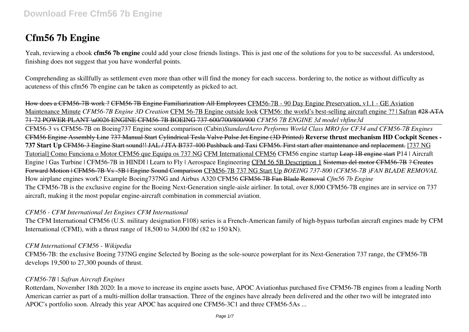# **Cfm56 7b Engine**

Yeah, reviewing a ebook **cfm56 7b engine** could add your close friends listings. This is just one of the solutions for you to be successful. As understood, finishing does not suggest that you have wonderful points.

Comprehending as skillfully as settlement even more than other will find the money for each success. bordering to, the notice as without difficulty as acuteness of this cfm56 7b engine can be taken as competently as picked to act.

How does a CFM56-7B work ? CFM56 7B Engine Familiarization All Employees CFM56-7B - 90 Day Engine Preservation, v1.1 - GE Aviation Maintenance Minute *CFM56-7B Engine 3D Creation* CFM 56-7B Engine outside look CFM56: the world's best-selling aircraft engine ?? | Safran #28 ATA 71-72 POWER PLANT \u0026 ENGINE CFM56-7B BOEING 737-600/700/800/900 *CFM56 7B ENGINE 3d model vhfine3d*

CFM56-3 vs CFM56-7B on Boeing737 Engine sound comparison (Cabin)*StandardAero Performs World Class MRO for CF34 and CFM56-7B Engines* CFM56 Engine Assembly Line 737 Manual Start Cylindrical Tesla Valve Pulse Jet Engine (3D Printed) **Reverse thrust mechanism HD Cockpit Scenes - 737 Start Up** CFM56-3 Engine Start sound!! JAL / JTA B737-400 Pushback and Taxi CFM56. First start after maintenance and replacement. [737 NG Tutoriall Como Funciona o Motor CFM56 que Equipa os 737 NG CFM International CFM56 CFM56 engine startup Leap 1B engine start P14 | Aircraft Engine | Gas Turbine | CFM56-7B in HINDI | Learn to Fly | Aerospace Engineering CFM 56 5B Description 1 Sistemas del motor CFM56-7B ? Creates Forward Motion | CFM56-7B Vs -5B | Engine Sound Comparison CFM56-7B 737 NG Start Up *BOEING 737-800 (CFM56-7B )FAN BLADE REMOVAL* How airplane engines work? Example Boeing737NG and Airbus A320 CFM56 CFM56 7B Fan Blade Removal *Cfm56 7b Engine* The CFM56-7B is the exclusive engine for the Boeing Next-Generation single-aisle airliner. In total, over 8,000 CFM56-7B engines are in service on 737 aircraft, making it the most popular engine-aircraft combination in commercial aviation.

### *CFM56 - CFM International Jet Engines CFM International*

The CFM International CFM56 (U.S. military designation F108) series is a French-American family of high-bypass turbofan aircraft engines made by CFM International (CFMI), with a thrust range of 18,500 to 34,000 lbf (82 to 150 kN).

#### *CFM International CFM56 - Wikipedia*

CFM56-7B: the exclusive Boeing 737NG engine Selected by Boeing as the sole-source powerplant for its Next-Generation 737 range, the CFM56-7B develops 19,500 to 27,300 pounds of thrust.

#### *CFM56-7B | Safran Aircraft Engines*

Rotterdam, November 18th 2020: In a move to increase its engine assets base, APOC Aviationhas purchased five CFM56-7B engines from a leading North American carrier as part of a multi-million dollar transaction. Three of the engines have already been delivered and the other two will be integrated into APOC's portfolio soon. Already this year APOC has acquired one CFM56-3C1 and three CFM56-5As ...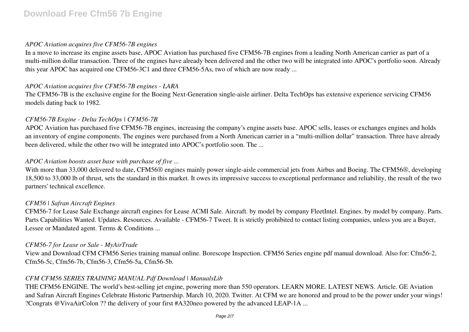#### *APOC Aviation acquires five CFM56-7B engines*

In a move to increase its engine assets base, APOC Aviation has purchased five CFM56-7B engines from a leading North American carrier as part of a multi-million dollar transaction. Three of the engines have already been delivered and the other two will be integrated into APOC's portfolio soon. Already this year APOC has acquired one CFM56-3C1 and three CFM56-5As, two of which are now ready ...

### *APOC Aviation acquires five CFM56-7B engines - LARA*

The CFM56-7B is the exclusive engine for the Boeing Next-Generation single-aisle airliner. Delta TechOps has extensive experience servicing CFM56 models dating back to 1982.

# *CFM56-7B Engine - Delta TechOps | CFM56-7B*

APOC Aviation has purchased five CFM56-7B engines, increasing the company's engine assets base. APOC sells, leases or exchanges engines and holds an inventory of engine components. The engines were purchased from a North American carrier in a "multi-million dollar" transaction. Three have already been delivered, while the other two will be integrated into APOC's portfolio soon. The ...

# *APOC Aviation boosts asset base with purchase of five ...*

With more than 33,000 delivered to date, CFM56® engines mainly power single-aisle commercial jets from Airbus and Boeing. The CFM56®, developing 18,500 to 33,000 lb of thrust, sets the standard in this market. It owes its impressive success to exceptional performance and reliability, the result of the two partners' technical excellence.

# *CFM56 | Safran Aircraft Engines*

CFM56-7 for Lease Sale Exchange aircraft engines for Lease ACMI Sale. Aircraft. by model by company FleetIntel. Engines. by model by company. Parts. Parts Capabilities Wanted. Updates. Resources. Available - CFM56-7 Tweet. It is strictly prohibited to contact listing companies, unless you are a Buyer, Lessee or Mandated agent. Terms & Conditions ...

# *CFM56-7 for Lease or Sale - MyAirTrade*

View and Download CFM CFM56 Series training manual online. Borescope Inspection. CFM56 Series engine pdf manual download. Also for: Cfm56-2, Cfm56-5c, Cfm56-7b, Cfm56-3, Cfm56-5a, Cfm56-5b.

# *CFM CFM56 SERIES TRAINING MANUAL Pdf Download | ManualsLib*

THE CFM56 ENGINE. The world's best-selling jet engine, powering more than 550 operators. LEARN MORE. LATEST NEWS. Article. GE Aviation and Safran Aircraft Engines Celebrate Historic Partnership. March 10, 2020. Twitter. At CFM we are honored and proud to be the power under your wings! ?Congrats @VivaAirColon ?? the delivery of your first #A320neo powered by the advanced LEAP-1A ...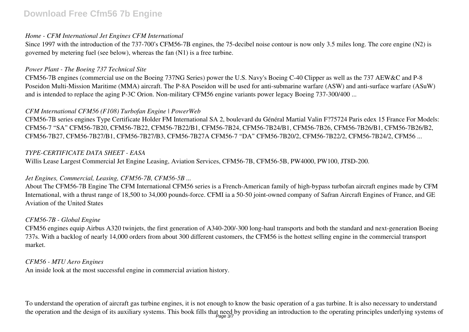#### *Home - CFM International Jet Engines CFM International*

Since 1997 with the introduction of the 737-700's CFM56-7B engines, the 75-decibel noise contour is now only 3.5 miles long. The core engine (N2) is governed by metering fuel (see below), whereas the fan (N1) is a free turbine.

#### *Power Plant - The Boeing 737 Technical Site*

CFM56-7B engines (commercial use on the Boeing 737NG Series) power the U.S. Navy's Boeing C-40 Clipper as well as the 737 AEW&C and P-8 Poseidon Multi-Mission Maritime (MMA) aircraft. The P-8A Poseidon will be used for anti-submarine warfare (ASW) and anti-surface warfare (ASuW) and is intended to replace the aging P-3C Orion. Non-military CFM56 engine variants power legacy Boeing 737-300/400 ...

#### *CFM International CFM56 (F108) Turbofan Engine | PowerWeb*

CFM56-7B series engines Type Certificate Holder FM International SA 2, boulevard du Général Martial Valin F?75724 Paris edex 15 France For Models: CFM56-7 "SA" CFM56-7B20, CFM56-7B22, CFM56-7B22/B1, CFM56-7B24, CFM56-7B24/B1, CFM56-7B26, CFM56-7B26/B1, CFM56-7B26/B2, CFM56-7B27, CFM56-7B27/B1, CFM56-7B27/B3, CFM56-7B27A CFM56-7 "DA" CFM56-7B20/2, CFM56-7B22/2, CFM56-7B24/2, CFM56 ...

#### *TYPE-CERTIFICATE DATA SHEET - EASA*

Willis Lease Largest Commercial Jet Engine Leasing, Aviation Services, CFM56-7B, CFM56-5B, PW4000, PW100, JT8D-200.

#### *Jet Engines, Commercial, Leasing, CFM56-7B, CFM56-5B ...*

About The CFM56-7B Engine The CFM International CFM56 series is a French-American family of high-bypass turbofan aircraft engines made by CFM International, with a thrust range of 18,500 to 34,000 pounds-force. CFMI ia a 50-50 joint-owned company of Safran Aircraft Engines of France, and GE Aviation of the United States

#### *CFM56-7B - Global Engine*

CFM56 engines equip Airbus A320 twinjets, the first generation of A340-200/-300 long-haul transports and both the standard and next-generation Boeing 737s. With a backlog of nearly 14,000 orders from about 300 different customers, the CFM56 is the hottest selling engine in the commercial transport market.

#### *CFM56 - MTU Aero Engines*

An inside look at the most successful engine in commercial aviation history.

To understand the operation of aircraft gas turbine engines, it is not enough to know the basic operation of a gas turbine. It is also necessary to understand the operation and the design of its auxiliary systems. This book fills that need by providing an introduction to the operating principles underlying systems of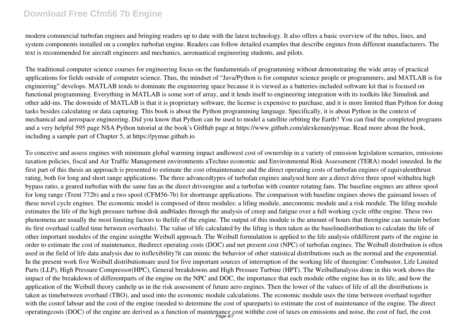modern commercial turbofan engines and bringing readers up to date with the latest technology. It also offers a basic overview of the tubes, lines, and system components installed on a complex turbofan engine. Readers can follow detailed examples that describe engines from different manufacturers. The text is recommended for aircraft engineers and mechanics, aeronautical engineering students, and pilots.

The traditional computer science courses for engineering focus on the fundamentals of programming without demonstrating the wide array of practical applications for fields outside of computer science. Thus, the mindset of "Java/Python is for computer science people or programmers, and MATLAB is for engineering" develops. MATLAB tends to dominate the engineering space because it is viewed as a batteries-included software kit that is focused on functional programming. Everything in MATLAB is some sort of array, and it lends itself to engineering integration with its toolkits like Simulink and other add-ins. The downside of MATLAB is that it is proprietary software, the license is expensive to purchase, and it is more limited than Python for doing tasks besides calculating or data capturing. This book is about the Python programming language. Specifically, it is about Python in the context of mechanical and aerospace engineering. Did you know that Python can be used to model a satellite orbiting the Earth? You can find the completed programs and a very helpful 595 page NSA Python tutorial at the book's GitHub page at https://www.github.com/alexkenan/pymae. Read more about the book, including a sample part of Chapter 5, at https://pymae.github.io

To conceive and assess engines with minimum global warming impact andlowest cost of ownership in a variety of emission legislation scenarios, emissions taxation policies, fiscal and Air Traffic Management environments aTechno economic and Environmental Risk Assessment (TERA) model isneeded. In the first part of this thesis an approach is presented to estimate the cost ofmaintenance and the direct operating costs of turbofan engines of equivalentthrust rating, both for long and short range applications. The three advancedtypes of turbofan engines analysed here are a direct drive three spool withultra high bypass ratio, a geared turbofan with the same fan as the direct driveengine and a turbofan with counter rotating fans. The baseline engines are athree spool for long range (Trent 772b) and a two spool (CFM56-7b) for shortrange applications. The comparison with baseline engines shows the gainsand losses of these novel cycle engines. The economic model is composed of three modules: a lifing module, aneconomic module and a risk module. The lifing module estimates the life of the high pressure turbine disk andblades through the analysis of creep and fatigue over a full working cycle ofthe engine. These two phenomena are usually the most limiting factors to thelife of the engine. The output of this module is the amount of hours that theengine can sustain before its first overhaul (called time between overhauls). The value of life calculated by the lifing is then taken as the baselinedistribution to calculate the life of other important modules of the engine usingthe Weibull approach. The Weibull formulation is applied to the life analysis ofdifferent parts of the engine in order to estimate the cost of maintenance, thedirect operating costs (DOC) and net present cost (NPC) of turbofan engines. The Weibull distribution is often used in the field of life data analysis due to itsflexibility?it can mimic the behavior of other statistical distributions such as the normal and the exponential. In the present work five Weibull distributionsare used for five important sources of interruption of the working life of theengine: Combustor, Life Limited Parts (LLP), High Pressure Compressor(HPC), General breakdowns and High Pressure Turbine (HPT). The Weibullanalysis done in this work shows the impact of the breakdown of differentparts of the engine on the NPC and DOC, the importance that each module ofthe engine has in its life, and how the application of the Weibull theory canhelp us in the risk assessment of future aero engines. Then the lower of the values of life of all the distributions is taken as timebetween overhaul (TBO), and used into the economic module calculations. The economic module uses the time between overhaul together with the costof labour and the cost of the engine (needed to determine the cost of spareparts) to estimate the cost of maintenance of the engine. The direct operatingcosts (DOC) of the engine are derived as a function of maintenance cost with the cost of taxes on emissions and noise, the cost of fuel, the cost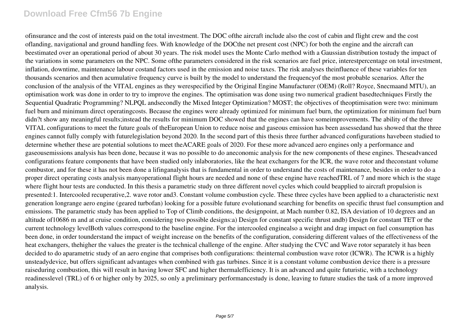ofinsurance and the cost of interests paid on the total investment. The DOC ofthe aircraft include also the cost of cabin and flight crew and the cost oflanding, navigational and ground handling fees. With knowledge of the DOCthe net present cost (NPC) for both the engine and the aircraft can beestimated over an operational period of about 30 years. The risk model uses the Monte Carlo method with a Gaussian distribution tostudy the impact of the variations in some parameters on the NPC. Some ofthe parameters considered in the risk scenarios are fuel price, interestpercentage on total investment, inflation, downtime, maintenance labour costand factors used in the emission and noise taxes. The risk analyses theinfluence of these variables for ten thousands scenarios and then acumulative frequency curve is built by the model to understand the frequencyof the most probable scenarios. After the conclusion of the analysis of the VITAL engines as they werespecified by the Original Engine Manufacturer (OEM) (Roll? Royce, Snecmaand MTU), an optimisation work was done in order to try to improve the engines. The optimisation was done using two numerical gradient basedtechniques Firstly the Sequential Quadratic Programming? NLPQL andsecondly the Mixed Integer Optimization? MOST; the objectives of theoptimisation were two: minimum fuel burn and minimum direct operatingcosts. Because the engines were already optimized for minimum fuel burn, the optimization for minimum fuel burn didn?t show any meaningful results;instead the results for minimum DOC showed that the engines can have some mprovements. The ability of the three VITAL configurations to meet the future goals of theEuropean Union to reduce noise and gaseous emission has been assessedand has showed that the three engines cannot fully comply with futurelegislation beyond 2020. In the second part of this thesis three further advanced configurations havebeen studied to determine whether these are potential solutions to meet theACARE goals of 2020. For these more advanced aero engines only a performance and gaseousemissions analysis has been done, because it was no possible to do aneconomic analysis for the new components of these engines. Theseadvanced configurations feature components that have been studied only inlaboratories, like the heat exchangers for the ICR, the wave rotor and theconstant volume combustor, and for these it has not been done a lifinganalysis that is fundamental in order to understand the costs of maintenance, besides in order to do a proper direct operating costs analysis manyoperational flight hours are needed and none of these engine have reachedTRL of 7 and more which is the stage where flight hour tests are conducted. In this thesis a parametric study on three different novel cycles which could beapplied to aircraft propulsion is presented:1. Intercooled recuperative,2. wave rotor and3. Constant volume combustion cycle. These three cycles have been applied to a characteristic next generation longrange aero engine (geared turbofan) looking for a possible future evolutionand searching for benefits on specific thrust fuel consumption and emissions. The parametric study has been applied to Top of Climb conditions, the designpoint, at Mach number 0.82, ISA deviation of 10 degrees and an altitude of10686 m and at cruise condition, considering two possible designs:a) Design for constant specific thrust andb) Design for constant TET or the current technology levelBoth values correspond to the baseline engine. For the intercooled enginealso a weight and drag impact on fuel consumption has been done, in order tounderstand the impact of weight increase on the benefits of the configuration, considering different values of the effectiveness of the heat exchangers, thehigher the values the greater is the technical challenge of the engine. After studying the CVC and Wave rotor separately it has been decided to do aparametric study of an aero engine that comprises both configurations: theinternal combustion wave rotor (ICWR). The ICWR is a highly unsteadydevice, but offers significant advantages when combined with gas turbines. Since it is a constant volume combustion device there is a pressure raiseduring combustion, this will result in having lower SFC and higher thermalefficiency. It is an advanced and quite futuristic, with a technology readinesslevel (TRL) of 6 or higher only by 2025, so only a preliminary performancestudy is done, leaving to future studies the task of a more improved analysis.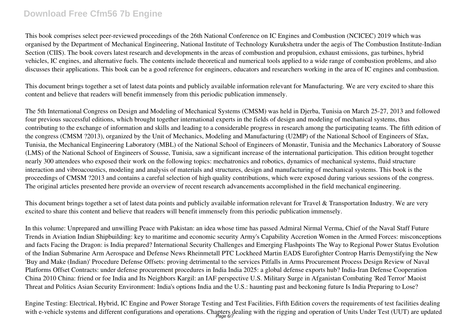This book comprises select peer-reviewed proceedings of the 26th National Conference on IC Engines and Combustion (NCICEC) 2019 which was organised by the Department of Mechanical Engineering, National Institute of Technology Kurukshetra under the aegis of The Combustion Institute-Indian Section (CIIS). The book covers latest research and developments in the areas of combustion and propulsion, exhaust emissions, gas turbines, hybrid vehicles, IC engines, and alternative fuels. The contents include theoretical and numerical tools applied to a wide range of combustion problems, and also discusses their applications. This book can be a good reference for engineers, educators and researchers working in the area of IC engines and combustion.

This document brings together a set of latest data points and publicly available information relevant for Manufacturing. We are very excited to share this content and believe that readers will benefit immensely from this periodic publication immensely.

The 5th International Congress on Design and Modeling of Mechanical Systems (CMSM) was held in Djerba, Tunisia on March 25-27, 2013 and followed four previous successful editions, which brought together international experts in the fields of design and modeling of mechanical systems, thus contributing to the exchange of information and skills and leading to a considerable progress in research among the participating teams. The fifth edition of the congress (CMSM ?2013), organized by the Unit of Mechanics, Modeling and Manufacturing (U2MP) of the National School of Engineers of Sfax, Tunisia, the Mechanical Engineering Laboratory (MBL) of the National School of Engineers of Monastir, Tunisia and the Mechanics Laboratory of Sousse (LMS) of the National School of Engineers of Sousse, Tunisia, saw a significant increase of the international participation. This edition brought together nearly 300 attendees who exposed their work on the following topics: mechatronics and robotics, dynamics of mechanical systems, fluid structure interaction and vibroacoustics, modeling and analysis of materials and structures, design and manufacturing of mechanical systems. This book is the proceedings of CMSM ?2013 and contains a careful selection of high quality contributions, which were exposed during various sessions of the congress. The original articles presented here provide an overview of recent research advancements accomplished in the field mechanical engineering.

This document brings together a set of latest data points and publicly available information relevant for Travel & Transportation Industry. We are very excited to share this content and believe that readers will benefit immensely from this periodic publication immensely.

In this volume: Unprepared and unwilling Peace with Pakistan: an idea whose time has passed Admiral Nirmal Verma, Chief of the Naval Staff Future Trends in Aviation Indian Shipbuilding: key to maritime and economic security Army's Capability Accretion Women in the Armed Forces: misconceptions and facts Facing the Dragon: is India prepared? International Security Challenges and Emerging Flashpoints The Way to Regional Power Status Evolution of the Indian Submarine Arm Aerospace and Defense News Rheinmetall PTC Lockheed Martin EADS Eurofighter Controp Harris Demystifying the New 'Buy and Make (Indian)' Procedure Defense Offsets: proving detrimental to the services Pitfalls in Arms Procurement Process Design Review of Naval Platforms Offset Contracts: under defense procurement procedures in India India 2025: a global defense exports hub? India-Iran Defense Cooperation China 2010 China: friend or foe India and Its Neighbors Kargil: an IAF perspective U.S. Military Surge in Afganistan Combating 'Red Terror' Maoist Threat and Politics Asian Security Environment: India's options India and the U.S.: haunting past and beckoning future Is India Preparing to Lose?

Engine Testing: Electrical, Hybrid, IC Engine and Power Storage Testing and Test Facilities, Fifth Edition covers the requirements of test facilities dealing with e-vehicle systems and different configurations and operations. Chapters dealing with the rigging and operation of Units Under Test (UUT) are updated